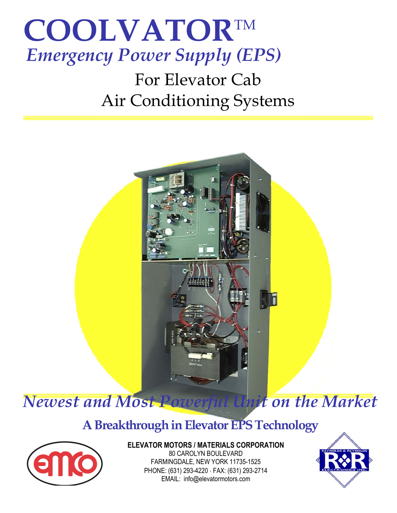

For Elevator Cab Air Conditioning Systems



## **A Breakthrough in Elevator EPS Technology**



**ELEVATOR MOTORS / MATERIALS CORPORATION**  80 CAROLYN BOULEVARD FARMINGDALE, NEW YORK 11735-1525 PHONE: (631) 293-4220 ⋅ FAX: (631) 293-2714 EMAIL: info@elevatormotors.com